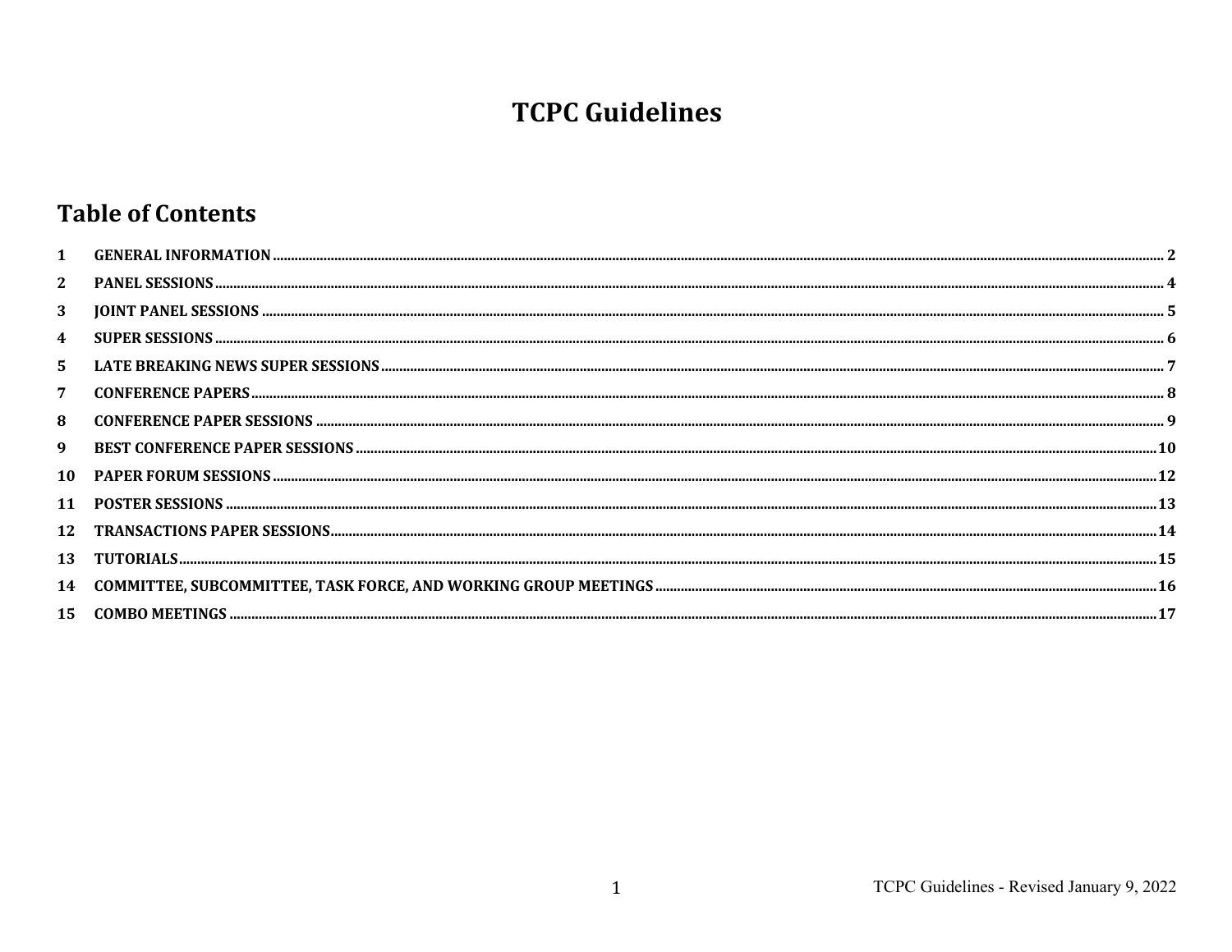# **TCPC Guidelines**

# **Table of Contents**

| $\mathbf{1}$   |  |
|----------------|--|
| $\mathbf{2}$   |  |
| 3              |  |
| 4              |  |
| 5.             |  |
| $\overline{7}$ |  |
| 8              |  |
| 9              |  |
| 10             |  |
| 11             |  |
| 12             |  |
| 13             |  |
| 14             |  |
| 15             |  |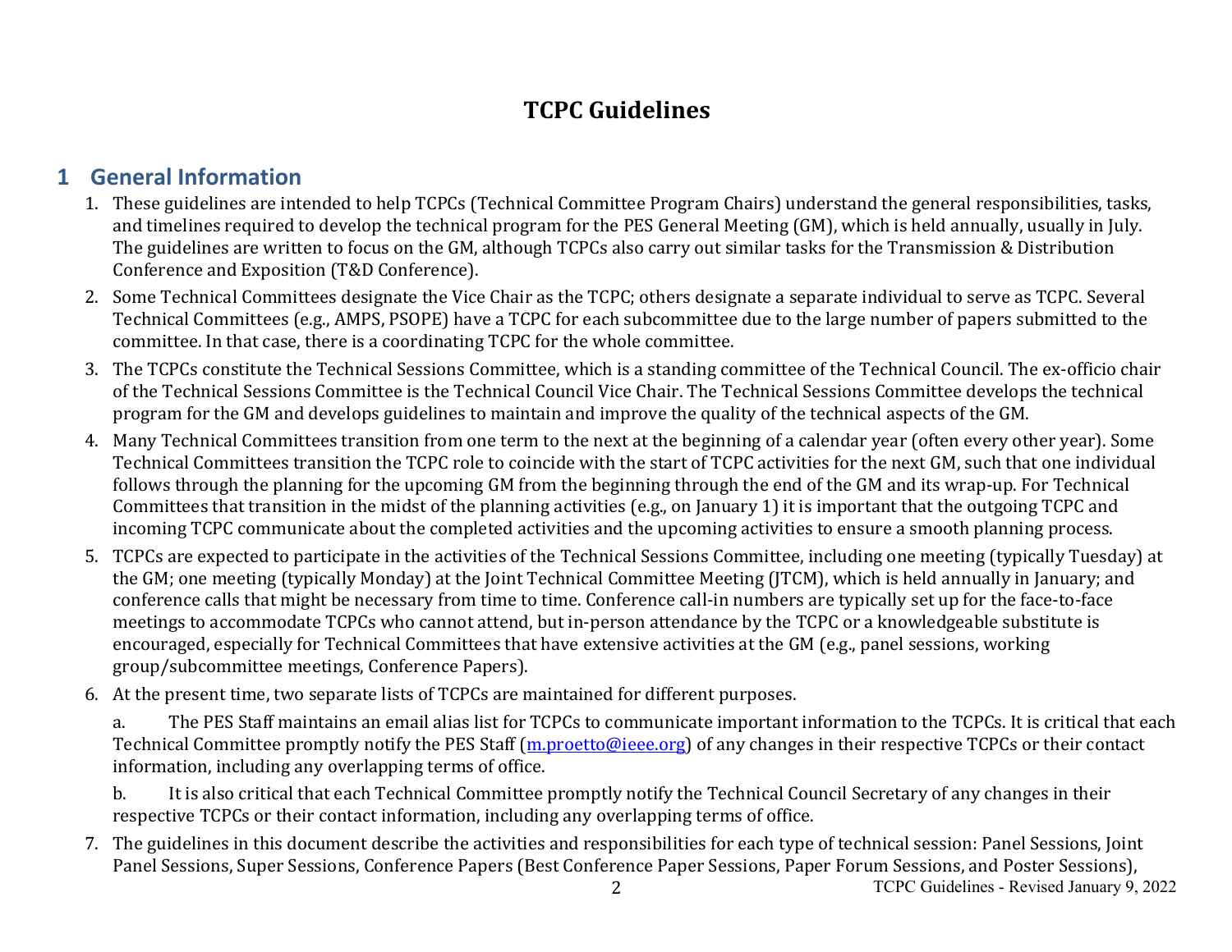# **TCPC Guidelines**

# **1 General Information**

- 1. These guidelines are intended to help TCPCs (Technical Committee Program Chairs) understand the general responsibilities, tasks, and timelines required to develop the technical program for the PES General Meeting (GM), which is held annually, usually in July. The guidelines are written to focus on the GM, although TCPCs also carry out similar tasks for the Transmission & Distribution Conference and Exposition (T&D Conference).
- 2. Some Technical Committees designate the Vice Chair as the TCPC; others designate a separate individual to serve as TCPC. Several Technical Committees (e.g., AMPS, PSOPE) have a TCPC for each subcommittee due to the large number of papers submitted to the committee. In that case, there is a coordinating TCPC for the whole committee.
- 3. The TCPCs constitute the Technical Sessions Committee, which is a standing committee of the Technical Council. The ex-officio chair of the Technical Sessions Committee is the Technical Council Vice Chair. The Technical Sessions Committee develops the technical program for the GM and develops guidelines to maintain and improve the quality of the technical aspects of the GM.
- 4. Many Technical Committees transition from one term to the next at the beginning of a calendar year (often every other year). Some Technical Committees transition the TCPC role to coincide with the start of TCPC activities for the next GM, such that one individual follows through the planning for the upcoming GM from the beginning through the end of the GM and its wrap-up. For Technical Committees that transition in the midst of the planning activities (e.g., on January 1) it is important that the outgoing TCPC and incoming TCPC communicate about the completed activities and the upcoming activities to ensure a smooth planning process.
- 5. TCPCs are expected to participate in the activities of the Technical Sessions Committee, including one meeting (typically Tuesday) at the GM; one meeting (typically Monday) at the Joint Technical Committee Meeting (JTCM), which is held annually in January; and conference calls that might be necessary from time to time. Conference call-in numbers are typically set up for the face-to-face meetings to accommodate TCPCs who cannot attend, but in-person attendance by the TCPC or a knowledgeable substitute is encouraged, especially for Technical Committees that have extensive activities at the GM (e.g., panel sessions, working group/subcommittee meetings, Conference Papers).
- 6. At the present time, two separate lists of TCPCs are maintained for different purposes.
	- a. The PES Staff maintains an email alias list for TCPCs to communicate important information to the TCPCs. It is critical that each Technical Committee promptly notify the PES Staff (m.proetto@ieee.org) of any changes in their respective TCPCs or their contact information, including any overlapping terms of office.
	- b. It is also critical that each Technical Committee promptly notify the Technical Council Secretary of any changes in their respective TCPCs or their contact information, including any overlapping terms of office.
- 7. The guidelines in this document describe the activities and responsibilities for each type of technical session: Panel Sessions, Joint Panel Sessions, Super Sessions, Conference Papers (Best Conference Paper Sessions, Paper Forum Sessions, and Poster Sessions),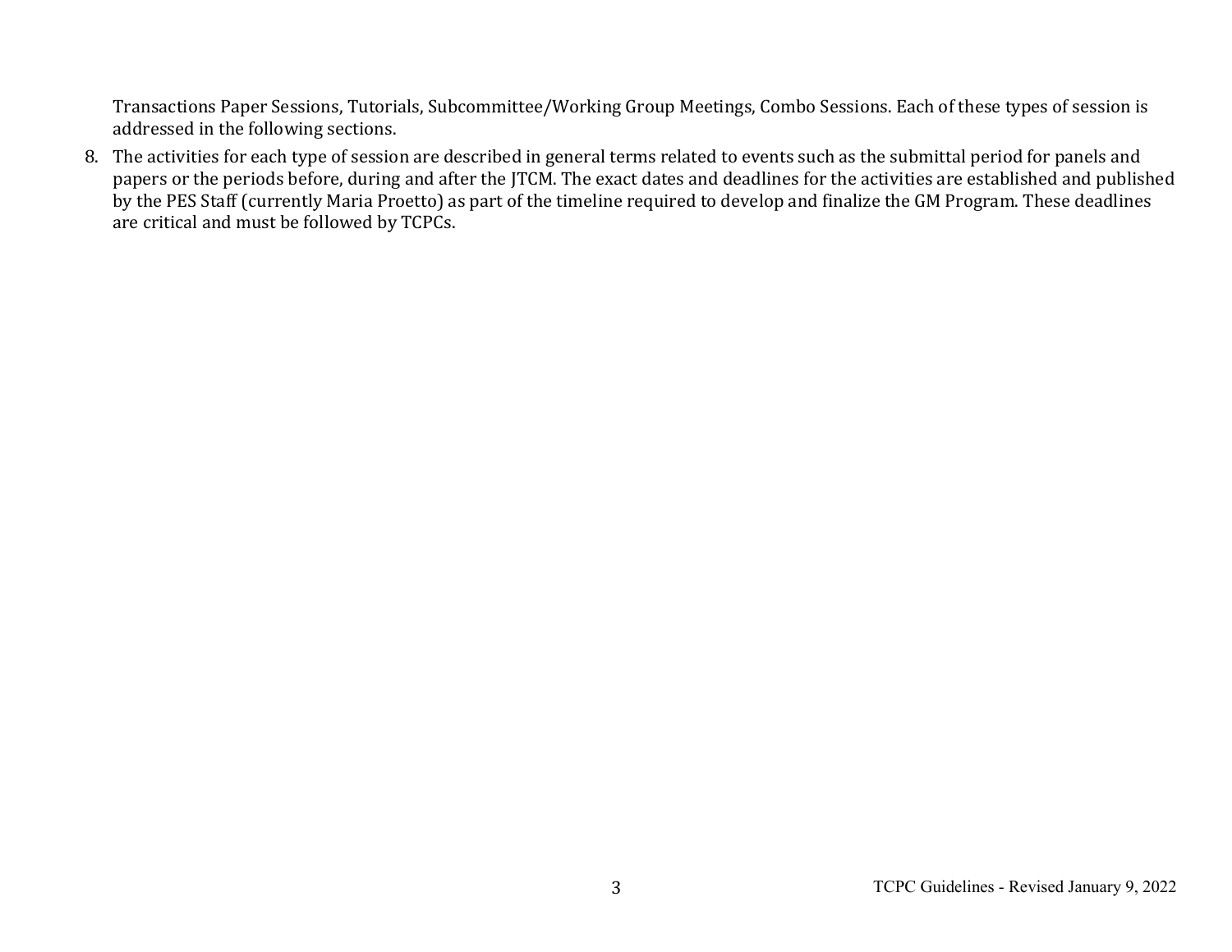Transactions Paper Sessions, Tutorials, Subcommittee/Working Group Meetings, Combo Sessions. Each of these types of session is addressed in the following sections.

8. The activities for each type of session are described in general terms related to events such as the submittal period for panels and papers or the periods before, during and after the JTCM. The exact dates and deadlines for the activities are established and published by the PES Staff (currently Maria Proetto) as part of the timeline required to develop and finalize the GM Program. These deadlines are critical and must be followed by TCPCs.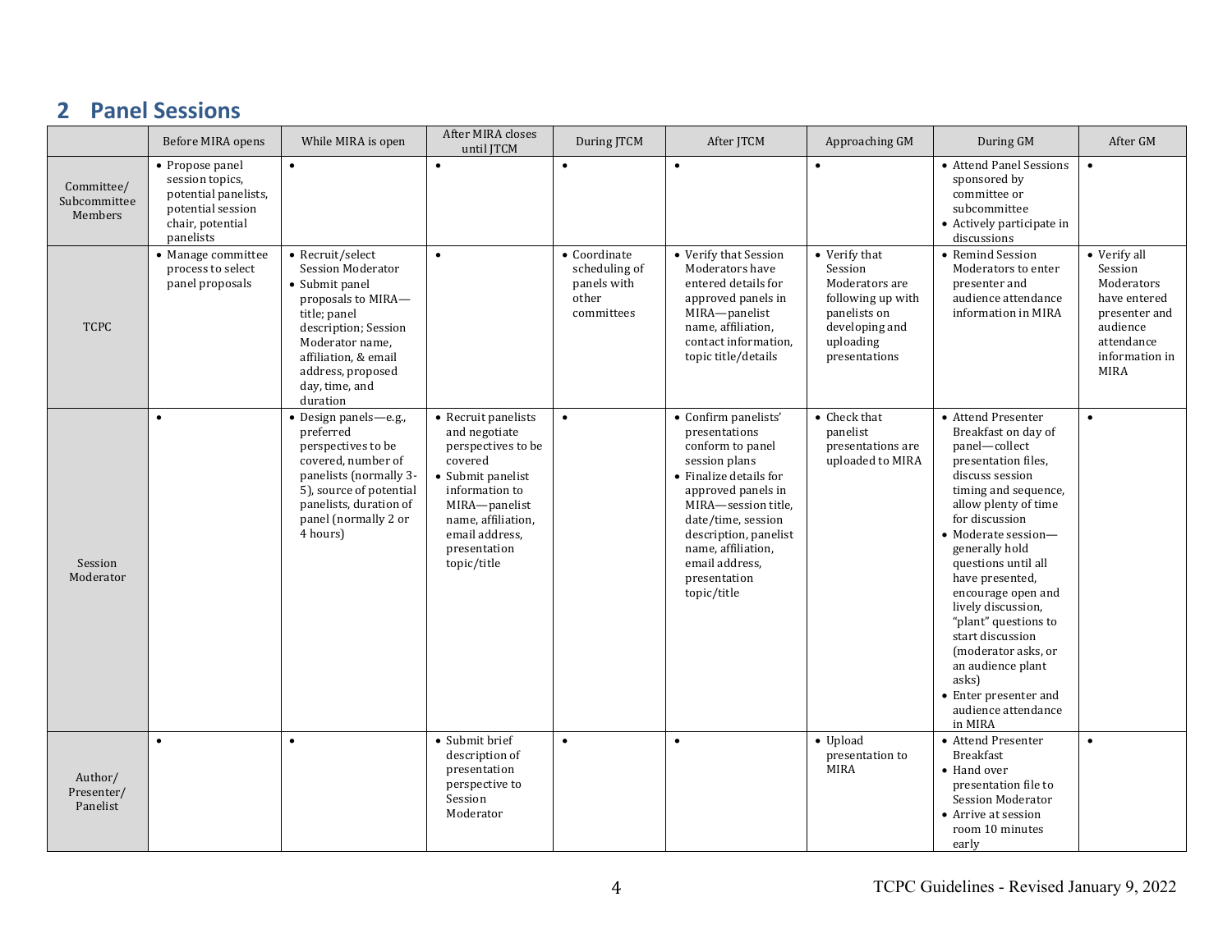#### **2 Panel Sessions**

|                                       | Before MIRA opens                                                                                                | While MIRA is open                                                                                                                                                                                                         | After MIRA closes<br>until JTCM                                                                                                                                                                      | During JTCM                                                         | After JTCM                                                                                                                                                                                                                                                              | Approaching GM                                                                                                                  | During GM                                                                                                                                                                                                                                                                                                                                                                                                                                                         | After GM                                                                                                                          |
|---------------------------------------|------------------------------------------------------------------------------------------------------------------|----------------------------------------------------------------------------------------------------------------------------------------------------------------------------------------------------------------------------|------------------------------------------------------------------------------------------------------------------------------------------------------------------------------------------------------|---------------------------------------------------------------------|-------------------------------------------------------------------------------------------------------------------------------------------------------------------------------------------------------------------------------------------------------------------------|---------------------------------------------------------------------------------------------------------------------------------|-------------------------------------------------------------------------------------------------------------------------------------------------------------------------------------------------------------------------------------------------------------------------------------------------------------------------------------------------------------------------------------------------------------------------------------------------------------------|-----------------------------------------------------------------------------------------------------------------------------------|
| Committee/<br>Subcommittee<br>Members | • Propose panel<br>session topics,<br>potential panelists,<br>potential session<br>chair, potential<br>panelists | $\bullet$                                                                                                                                                                                                                  |                                                                                                                                                                                                      |                                                                     | $\bullet$                                                                                                                                                                                                                                                               |                                                                                                                                 | • Attend Panel Sessions<br>sponsored by<br>committee or<br>subcommittee<br>• Actively participate in<br>discussions                                                                                                                                                                                                                                                                                                                                               | $\bullet$                                                                                                                         |
| <b>TCPC</b>                           | $\bullet$ Manage committee<br>process to select<br>panel proposals                                               | • Recruit/select<br><b>Session Moderator</b><br>• Submit panel<br>proposals to MIRA-<br>title; panel<br>description; Session<br>Moderator name,<br>affiliation, & email<br>address, proposed<br>day, time, and<br>duration | $\bullet$                                                                                                                                                                                            | • Coordinate<br>scheduling of<br>panels with<br>other<br>committees | • Verify that Session<br>Moderators have<br>entered details for<br>approved panels in<br>MIRA-panelist<br>name, affiliation,<br>contact information.<br>topic title/details                                                                                             | • Verify that<br>Session<br>Moderators are<br>following up with<br>panelists on<br>developing and<br>uploading<br>presentations | • Remind Session<br>Moderators to enter<br>presenter and<br>audience attendance<br>information in MIRA                                                                                                                                                                                                                                                                                                                                                            | • Verify all<br>Session<br>Moderators<br>have entered<br>presenter and<br>audience<br>attendance<br>information in<br><b>MIRA</b> |
| Session<br>Moderator                  | $\bullet$                                                                                                        | Design panels-e.g.,<br>preferred<br>perspectives to be<br>covered, number of<br>panelists (normally 3-<br>5), source of potential<br>panelists, duration of<br>panel (normally 2 or<br>4 hours)                            | • Recruit panelists<br>and negotiate<br>perspectives to be<br>covered<br>• Submit panelist<br>information to<br>MIRA-panelist<br>name, affiliation,<br>email address,<br>presentation<br>topic/title | $\bullet$                                                           | • Confirm panelists'<br>presentations<br>conform to panel<br>session plans<br>• Finalize details for<br>approved panels in<br>MIRA-session title,<br>date/time, session<br>description, panelist<br>name, affiliation,<br>email address.<br>presentation<br>topic/title | • Check that<br>panelist<br>presentations are<br>uploaded to MIRA                                                               | • Attend Presenter<br>Breakfast on day of<br>panel-collect<br>presentation files,<br>discuss session<br>timing and sequence,<br>allow plenty of time<br>for discussion<br>• Moderate session-<br>generally hold<br>questions until all<br>have presented,<br>encourage open and<br>lively discussion,<br>"plant" questions to<br>start discussion<br>(moderator asks, or<br>an audience plant<br>asks)<br>• Enter presenter and<br>audience attendance<br>in MIRA | $\bullet$                                                                                                                         |
| Author/<br>Presenter/<br>Panelist     | $\bullet$                                                                                                        | $\bullet$                                                                                                                                                                                                                  | • Submit brief<br>description of<br>presentation<br>perspective to<br>Session<br>Moderator                                                                                                           | $\bullet$                                                           | $\bullet$                                                                                                                                                                                                                                                               | • Upload<br>presentation to<br><b>MIRA</b>                                                                                      | • Attend Presenter<br><b>Breakfast</b><br>• Hand over<br>presentation file to<br><b>Session Moderator</b><br>• Arrive at session<br>room 10 minutes<br>early                                                                                                                                                                                                                                                                                                      | $\bullet$                                                                                                                         |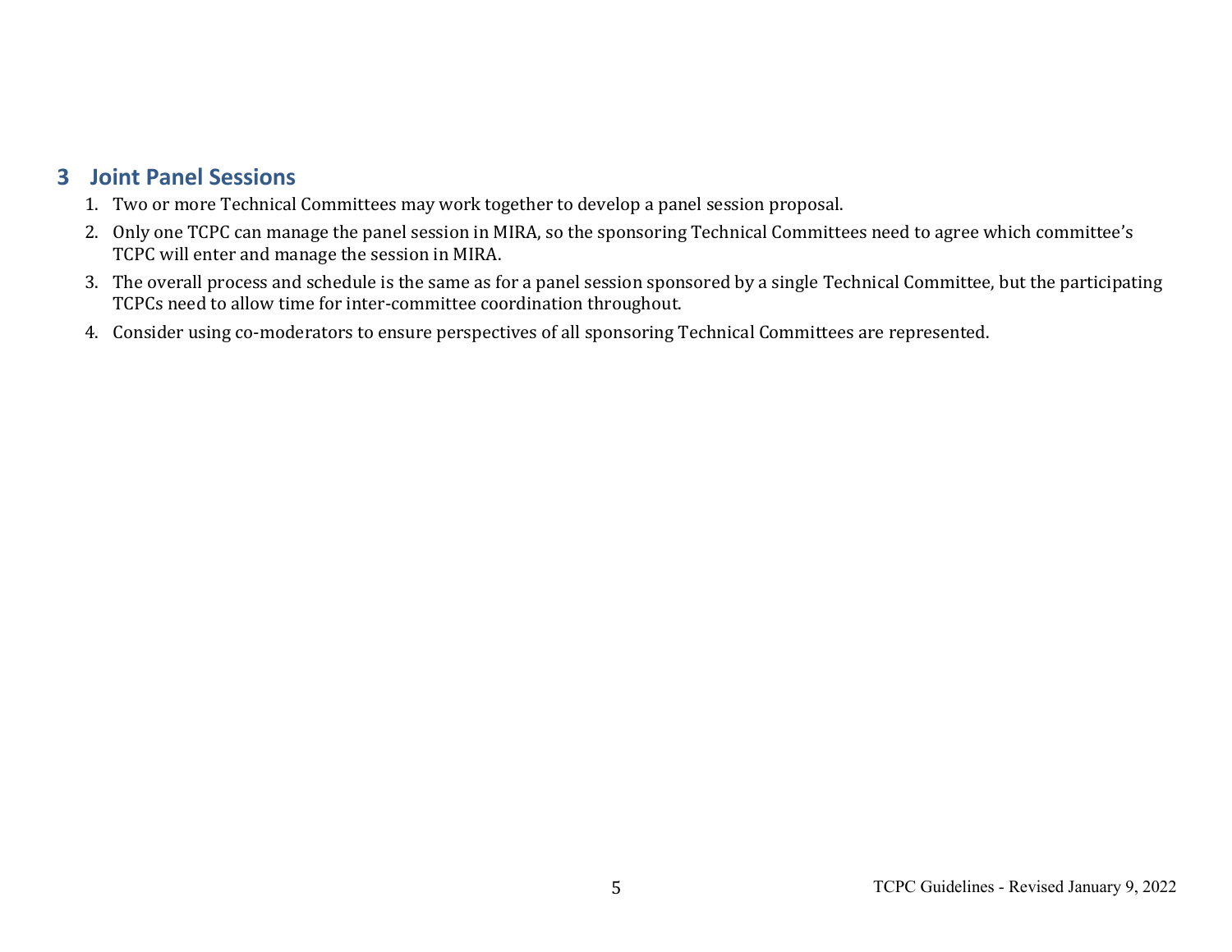#### **3 Joint Panel Sessions**

- 1. Two or more Technical Committees may work together to develop a panel session proposal.
- 2. Only one TCPC can manage the panel session in MIRA, so the sponsoring Technical Committees need to agree which committee's TCPC will enter and manage the session in MIRA.
- 3. The overall process and schedule is the same as for a panel session sponsored by a single Technical Committee, but the participating TCPCs need to allow time for inter-committee coordination throughout.
- 4. Consider using co-moderators to ensure perspectives of all sponsoring Technical Committees are represented.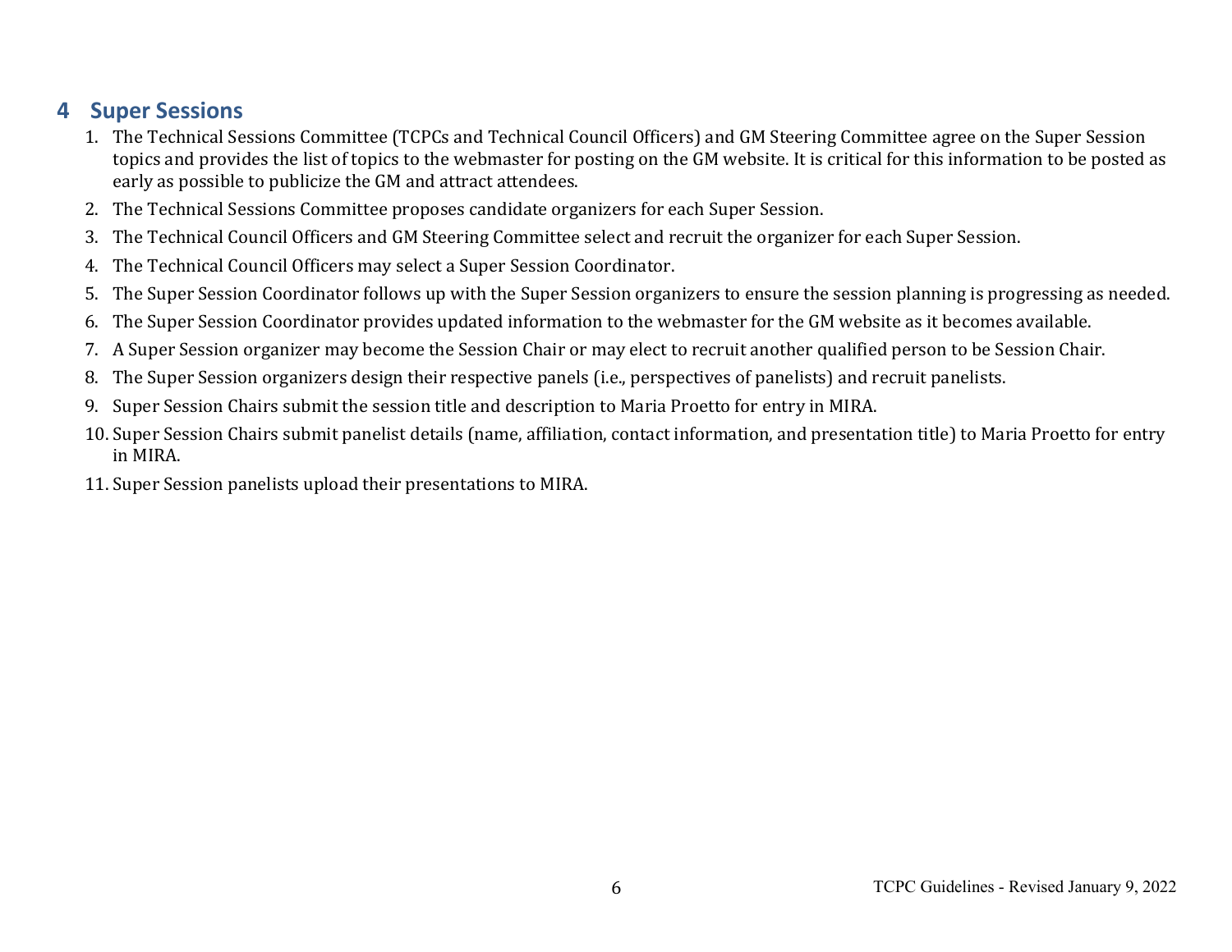#### **4 Super Sessions**

- 1. The Technical Sessions Committee (TCPCs and Technical Council Officers) and GM Steering Committee agree on the Super Session topics and provides the list of topics to the webmaster for posting on the GM website. It is critical for this information to be posted as early as possible to publicize the GM and attract attendees.
- 2. The Technical Sessions Committee proposes candidate organizers for each Super Session.
- 3. The Technical Council Officers and GM Steering Committee select and recruit the organizer for each Super Session.
- 4. The Technical Council Officers may select a Super Session Coordinator.
- 5. The Super Session Coordinator follows up with the Super Session organizers to ensure the session planning is progressing as needed.
- 6. The Super Session Coordinator provides updated information to the webmaster for the GM website as it becomes available.
- 7. A Super Session organizer may become the Session Chair or may elect to recruit another qualified person to be Session Chair.
- 8. The Super Session organizers design their respective panels (i.e., perspectives of panelists) and recruit panelists.
- 9. Super Session Chairs submit the session title and description to Maria Proetto for entry in MIRA.
- 10. Super Session Chairs submit panelist details (name, affiliation, contact information, and presentation title) to Maria Proetto for entry in MIRA.
- 11. Super Session panelists upload their presentations to MIRA.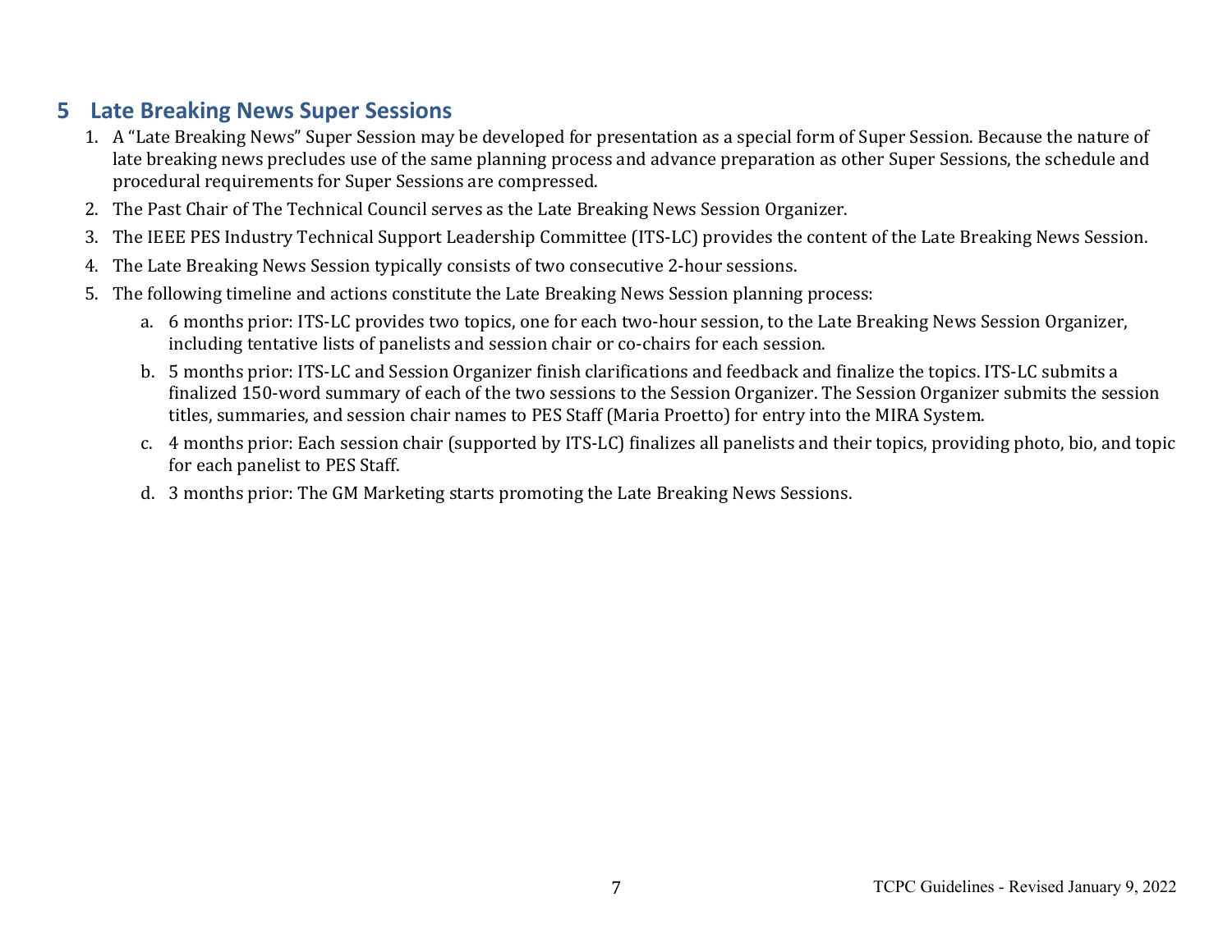#### **5 Late Breaking News Super Sessions**

- 1. A "Late Breaking News" Super Session may be developed for presentation as a special form of Super Session. Because the nature of late breaking news precludes use of the same planning process and advance preparation as other Super Sessions, the schedule and procedural requirements for Super Sessions are compressed.
- 2. The Past Chair of The Technical Council serves as the Late Breaking News Session Organizer.
- 3. The IEEE PES Industry Technical Support Leadership Committee (ITS-LC) provides the content of the Late Breaking News Session.
- 4. The Late Breaking News Session typically consists of two consecutive 2-hour sessions.
- 5. The following timeline and actions constitute the Late Breaking News Session planning process:
	- a. 6 months prior: ITS-LC provides two topics, one for each two-hour session, to the Late Breaking News Session Organizer, including tentative lists of panelists and session chair or co-chairs for each session.
	- b. 5 months prior: ITS-LC and Session Organizer finish clarifications and feedback and finalize the topics. ITS-LC submits a finalized 150-word summary of each of the two sessions to the Session Organizer. The Session Organizer submits the session titles, summaries, and session chair names to PES Staff (Maria Proetto) for entry into the MIRA System.
	- c. 4 months prior: Each session chair (supported by ITS-LC) finalizes all panelists and their topics, providing photo, bio, and topic for each panelist to PES Staff.
	- d. 3 months prior: The GM Marketing starts promoting the Late Breaking News Sessions.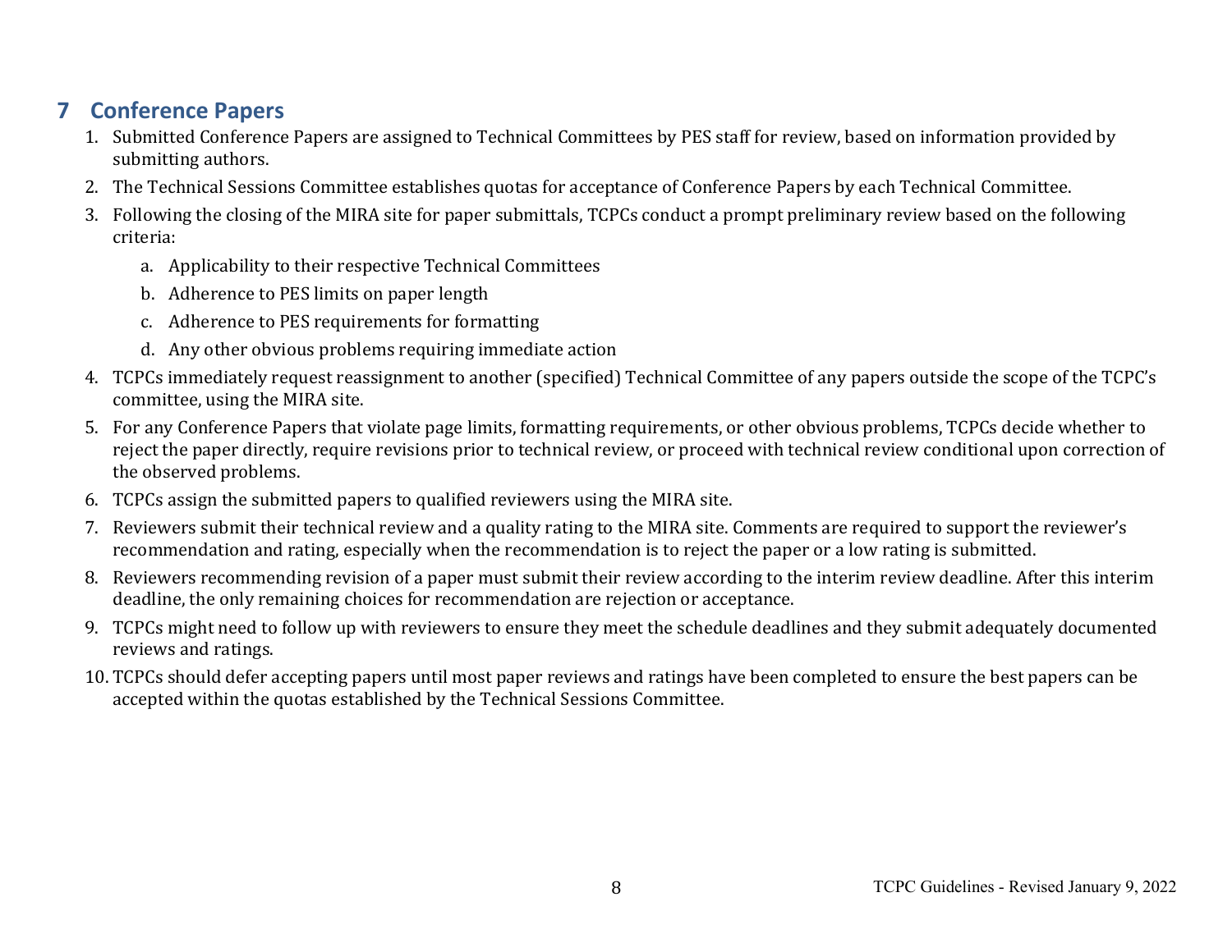### **7 Conference Papers**

- 1. Submitted Conference Papers are assigned to Technical Committees by PES staff for review, based on information provided by submitting authors.
- 2. The Technical Sessions Committee establishes quotas for acceptance of Conference Papers by each Technical Committee.
- 3. Following the closing of the MIRA site for paper submittals, TCPCs conduct a prompt preliminary review based on the following criteria:
	- a. Applicability to their respective Technical Committees
	- b. Adherence to PES limits on paper length
	- c. Adherence to PES requirements for formatting
	- d. Any other obvious problems requiring immediate action
- 4. TCPCs immediately request reassignment to another (specified) Technical Committee of any papers outside the scope of the TCPC's committee, using the MIRA site.
- 5. For any Conference Papers that violate page limits, formatting requirements, or other obvious problems, TCPCs decide whether to reject the paper directly, require revisions prior to technical review, or proceed with technical review conditional upon correction of the observed problems.
- 6. TCPCs assign the submitted papers to qualified reviewers using the MIRA site.
- 7. Reviewers submit their technical review and a quality rating to the MIRA site. Comments are required to support the reviewer's recommendation and rating, especially when the recommendation is to reject the paper or a low rating is submitted.
- 8. Reviewers recommending revision of a paper must submit their review according to the interim review deadline. After this interim deadline, the only remaining choices for recommendation are rejection or acceptance.
- 9. TCPCs might need to follow up with reviewers to ensure they meet the schedule deadlines and they submit adequately documented reviews and ratings.
- 10. TCPCs should defer accepting papers until most paper reviews and ratings have been completed to ensure the best papers can be accepted within the quotas established by the Technical Sessions Committee.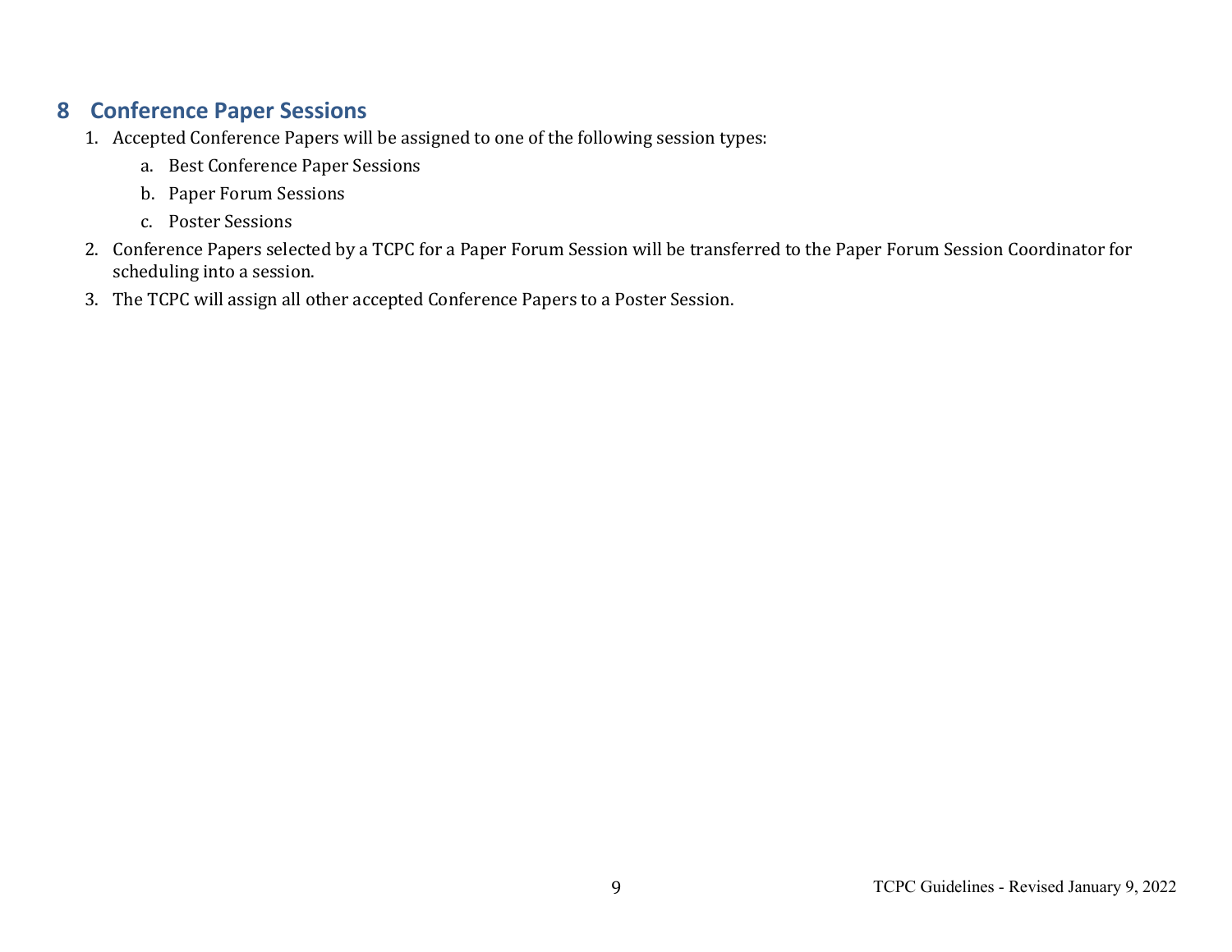#### **8 Conference Paper Sessions**

- 1. Accepted Conference Papers will be assigned to one of the following session types:
	- a. Best Conference Paper Sessions
	- b. Paper Forum Sessions
	- c. Poster Sessions
- 2. Conference Papers selected by a TCPC for a Paper Forum Session will be transferred to the Paper Forum Session Coordinator for scheduling into a session.
- 3. The TCPC will assign all other accepted Conference Papers to a Poster Session.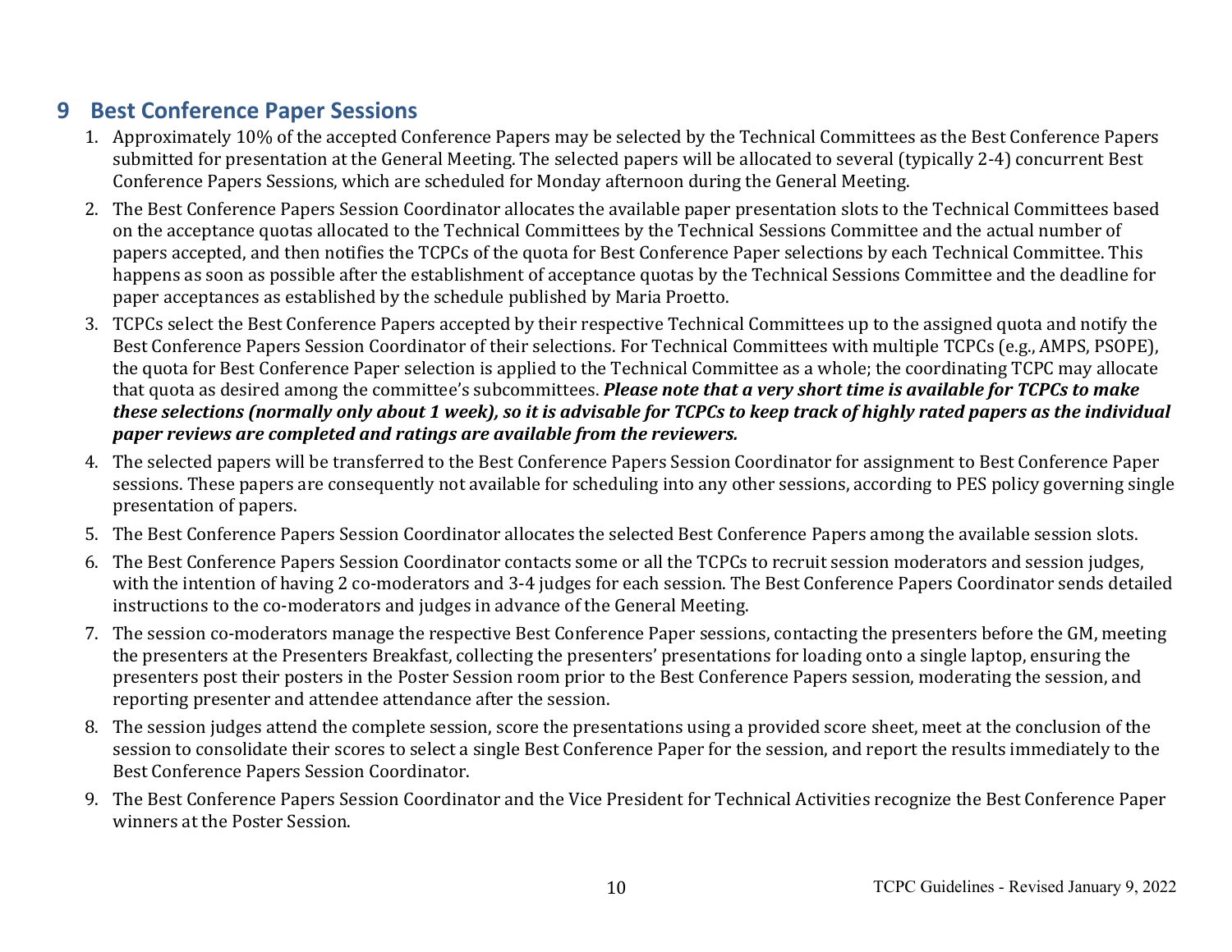#### **9 Best Conference Paper Sessions**

- 1. Approximately 10% of the accepted Conference Papers may be selected by the Technical Committees as the Best Conference Papers submitted for presentation at the General Meeting. The selected papers will be allocated to several (typically 2-4) concurrent Best Conference Papers Sessions, which are scheduled for Monday afternoon during the General Meeting.
- 2. The Best Conference Papers Session Coordinator allocates the available paper presentation slots to the Technical Committees based on the acceptance quotas allocated to the Technical Committees by the Technical Sessions Committee and the actual number of papers accepted, and then notifies the TCPCs of the quota for Best Conference Paper selections by each Technical Committee. This happens as soon as possible after the establishment of acceptance quotas by the Technical Sessions Committee and the deadline for paper acceptances as established by the schedule published by Maria Proetto.
- 3. TCPCs select the Best Conference Papers accepted by their respective Technical Committees up to the assigned quota and notify the Best Conference Papers Session Coordinator of their selections. For Technical Committees with multiple TCPCs (e.g., AMPS, PSOPE), the quota for Best Conference Paper selection is applied to the Technical Committee as a whole; the coordinating TCPC may allocate that quota as desired among the committee's subcommittees. *Please note that a very short time is available for TCPCs to make* these selections (normally only about 1 week), so it is advisable for TCPCs to keep track of highly rated papers as the individual *paper reviews are completed and ratings are available from the reviewers.*
- 4. The selected papers will be transferred to the Best Conference Papers Session Coordinator for assignment to Best Conference Paper sessions. These papers are consequently not available for scheduling into any other sessions, according to PES policy governing single presentation of papers.
- 5. The Best Conference Papers Session Coordinator allocates the selected Best Conference Papers among the available session slots.
- 6. The Best Conference Papers Session Coordinator contacts some or all the TCPCs to recruit session moderators and session judges, with the intention of having 2 co-moderators and 3-4 judges for each session. The Best Conference Papers Coordinator sends detailed instructions to the co-moderators and judges in advance of the General Meeting.
- 7. The session co-moderators manage the respective Best Conference Paper sessions, contacting the presenters before the GM, meeting the presenters at the Presenters Breakfast, collecting the presenters' presentations for loading onto a single laptop, ensuring the presenters post their posters in the Poster Session room prior to the Best Conference Papers session, moderating the session, and reporting presenter and attendee attendance after the session.
- 8. The session judges attend the complete session, score the presentations using a provided score sheet, meet at the conclusion of the session to consolidate their scores to select a single Best Conference Paper for the session, and report the results immediately to the Best Conference Papers Session Coordinator.
- 9. The Best Conference Papers Session Coordinator and the Vice President for Technical Activities recognize the Best Conference Paper winners at the Poster Session.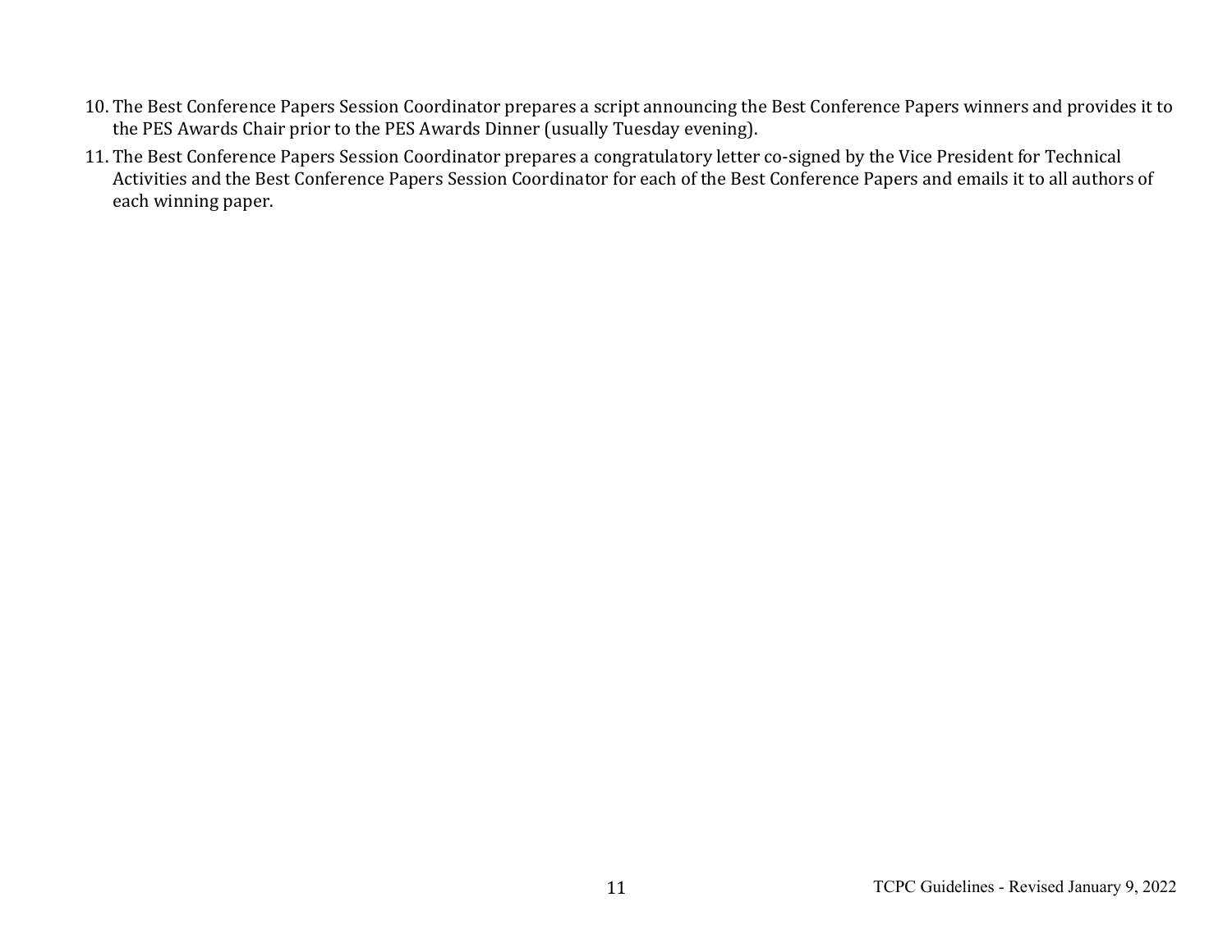- 10. The Best Conference Papers Session Coordinator prepares a script announcing the Best Conference Papers winners and provides it to the PES Awards Chair prior to the PES Awards Dinner (usually Tuesday evening).
- 11. The Best Conference Papers Session Coordinator prepares a congratulatory letter co-signed by the Vice President for Technical Activities and the Best Conference Papers Session Coordinator for each of the Best Conference Papers and emails it to all authors of each winning paper.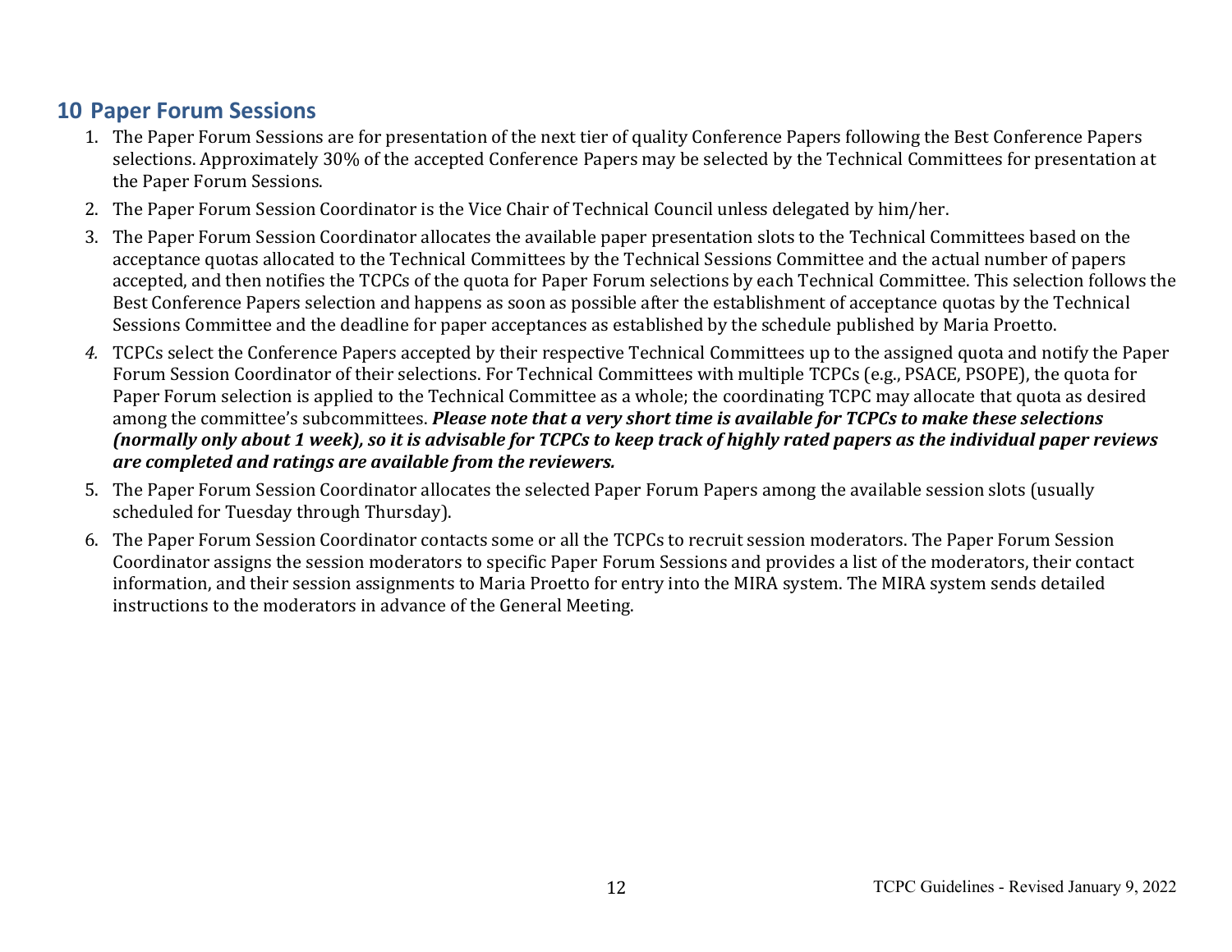#### **10 Paper Forum Sessions**

- 1. The Paper Forum Sessions are for presentation of the next tier of quality Conference Papers following the Best Conference Papers selections. Approximately 30% of the accepted Conference Papers may be selected by the Technical Committees for presentation at the Paper Forum Sessions.
- 2. The Paper Forum Session Coordinator is the Vice Chair of Technical Council unless delegated by him/her.
- 3. The Paper Forum Session Coordinator allocates the available paper presentation slots to the Technical Committees based on the acceptance quotas allocated to the Technical Committees by the Technical Sessions Committee and the actual number of papers accepted, and then notifies the TCPCs of the quota for Paper Forum selections by each Technical Committee. This selection follows the Best Conference Papers selection and happens as soon as possible after the establishment of acceptance quotas by the Technical Sessions Committee and the deadline for paper acceptances as established by the schedule published by Maria Proetto.
- 4. TCPCs select the Conference Papers accepted by their respective Technical Committees up to the assigned quota and notify the Paper Forum Session Coordinator of their selections. For Technical Committees with multiple TCPCs (e.g., PSACE, PSOPE), the quota for Paper Forum selection is applied to the Technical Committee as a whole; the coordinating TCPC may allocate that quota as desired among the committee's subcommittees. *Please note that a very short time is available for TCPCs to make these selections (normally only about 1 week), so it is advisable for TCPCs to keep track of highly rated papers as the individual paper reviews are completed and ratings are available from the reviewers.*
- 5. The Paper Forum Session Coordinator allocates the selected Paper Forum Papers among the available session slots (usually scheduled for Tuesday through Thursday).
- 6. The Paper Forum Session Coordinator contacts some or all the TCPCs to recruit session moderators. The Paper Forum Session Coordinator assigns the session moderators to specific Paper Forum Sessions and provides a list of the moderators, their contact information, and their session assignments to Maria Proetto for entry into the MIRA system. The MIRA system sends detailed instructions to the moderators in advance of the General Meeting.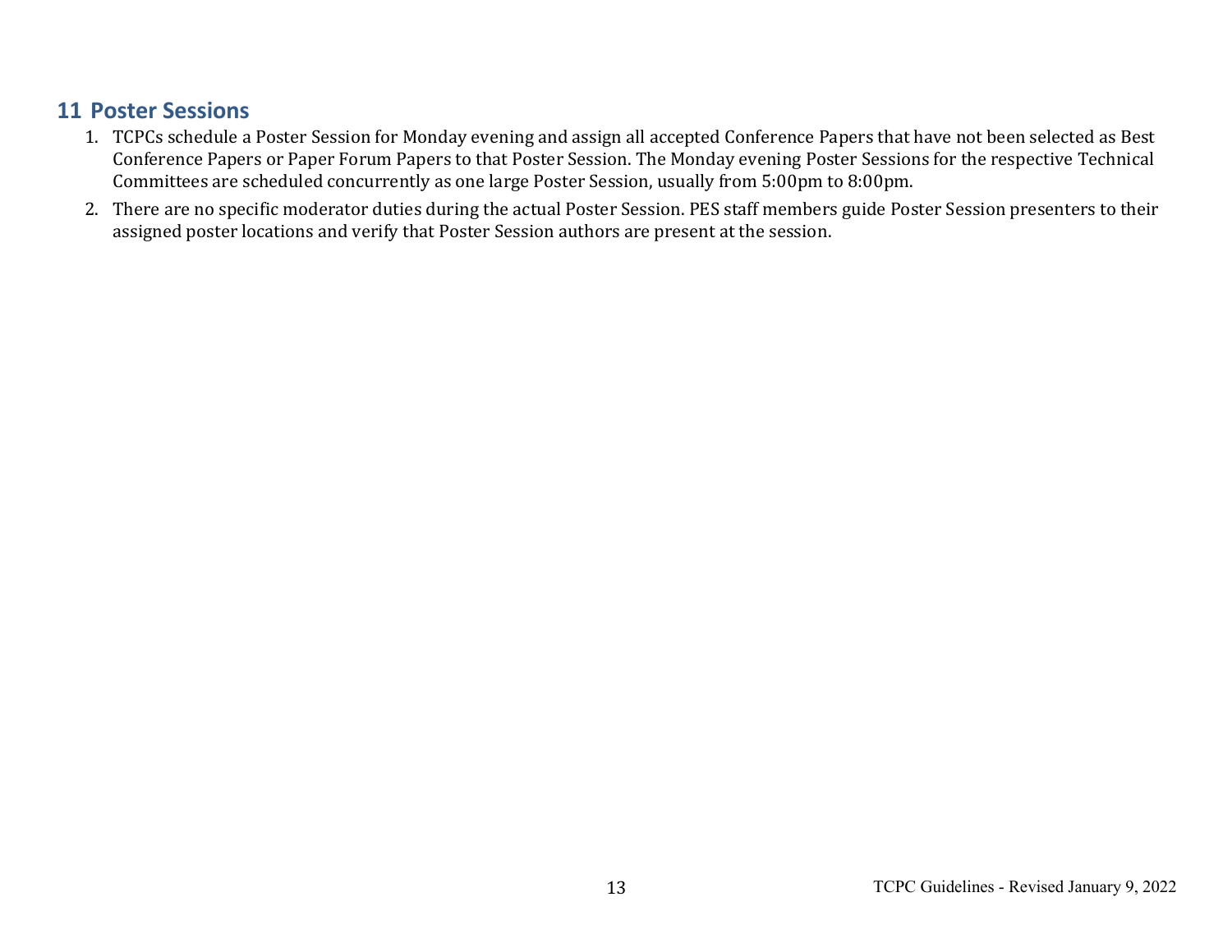#### **11 Poster Sessions**

- 1. TCPCs schedule a Poster Session for Monday evening and assign all accepted Conference Papers that have not been selected as Best Conference Papers or Paper Forum Papers to that Poster Session. The Monday evening Poster Sessions for the respective Technical Committees are scheduled concurrently as one large Poster Session, usually from 5:00pm to 8:00pm.
- 2. There are no specific moderator duties during the actual Poster Session. PES staff members guide Poster Session presenters to their assigned poster locations and verify that Poster Session authors are present at the session.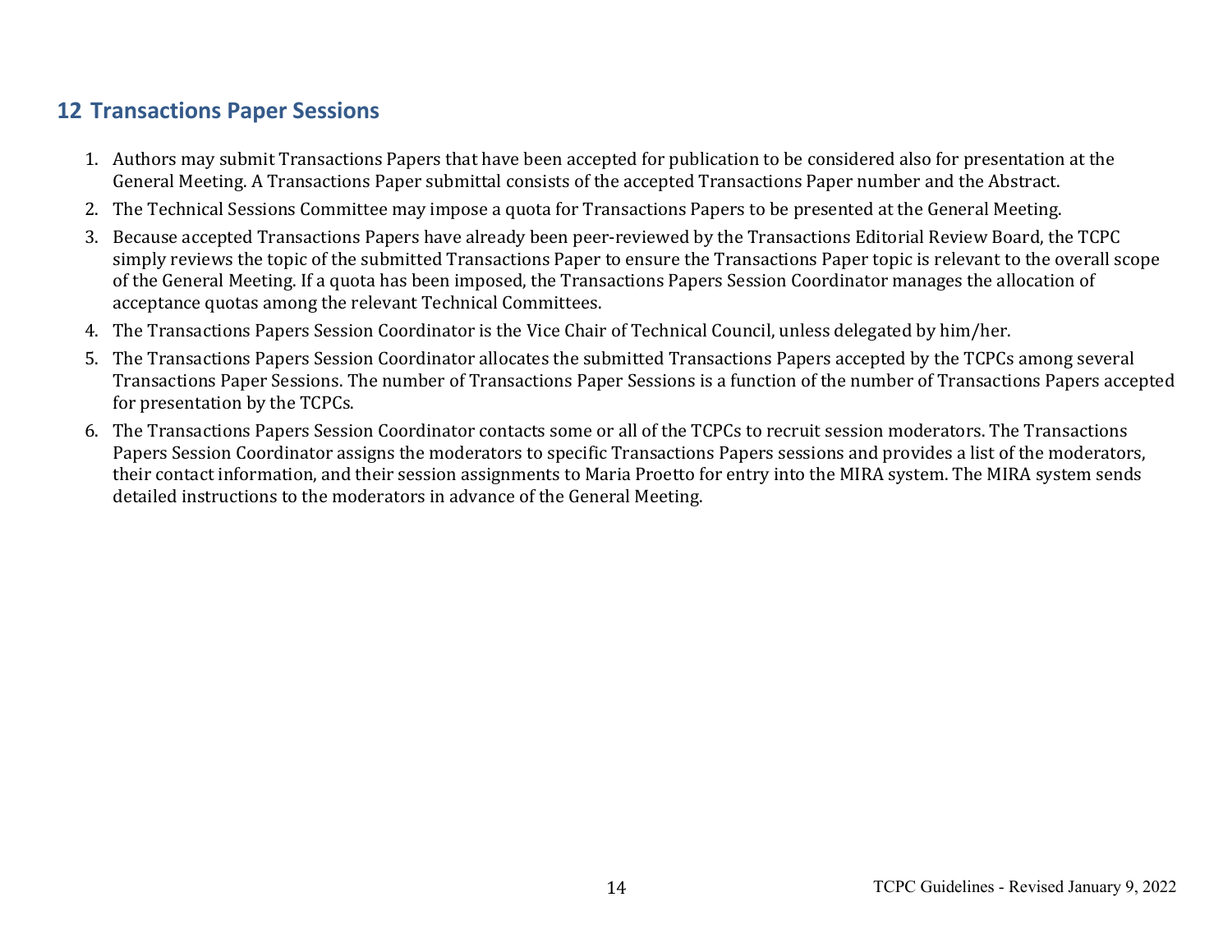### **12 Transactions Paper Sessions**

- 1. Authors may submit Transactions Papers that have been accepted for publication to be considered also for presentation at the General Meeting. A Transactions Paper submittal consists of the accepted Transactions Paper number and the Abstract.
- 2. The Technical Sessions Committee may impose a quota for Transactions Papers to be presented at the General Meeting.
- 3. Because accepted Transactions Papers have already been peer-reviewed by the Transactions Editorial Review Board, the TCPC simply reviews the topic of the submitted Transactions Paper to ensure the Transactions Paper topic is relevant to the overall scope of the General Meeting. If a quota has been imposed, the Transactions Papers Session Coordinator manages the allocation of acceptance quotas among the relevant Technical Committees.
- 4. The Transactions Papers Session Coordinator is the Vice Chair of Technical Council, unless delegated by him/her.
- 5. The Transactions Papers Session Coordinator allocates the submitted Transactions Papers accepted by the TCPCs among several Transactions Paper Sessions. The number of Transactions Paper Sessions is a function of the number of Transactions Papers accepted for presentation by the TCPCs.
- 6. The Transactions Papers Session Coordinator contacts some or all of the TCPCs to recruit session moderators. The Transactions Papers Session Coordinator assigns the moderators to specific Transactions Papers sessions and provides a list of the moderators, their contact information, and their session assignments to Maria Proetto for entry into the MIRA system. The MIRA system sends detailed instructions to the moderators in advance of the General Meeting.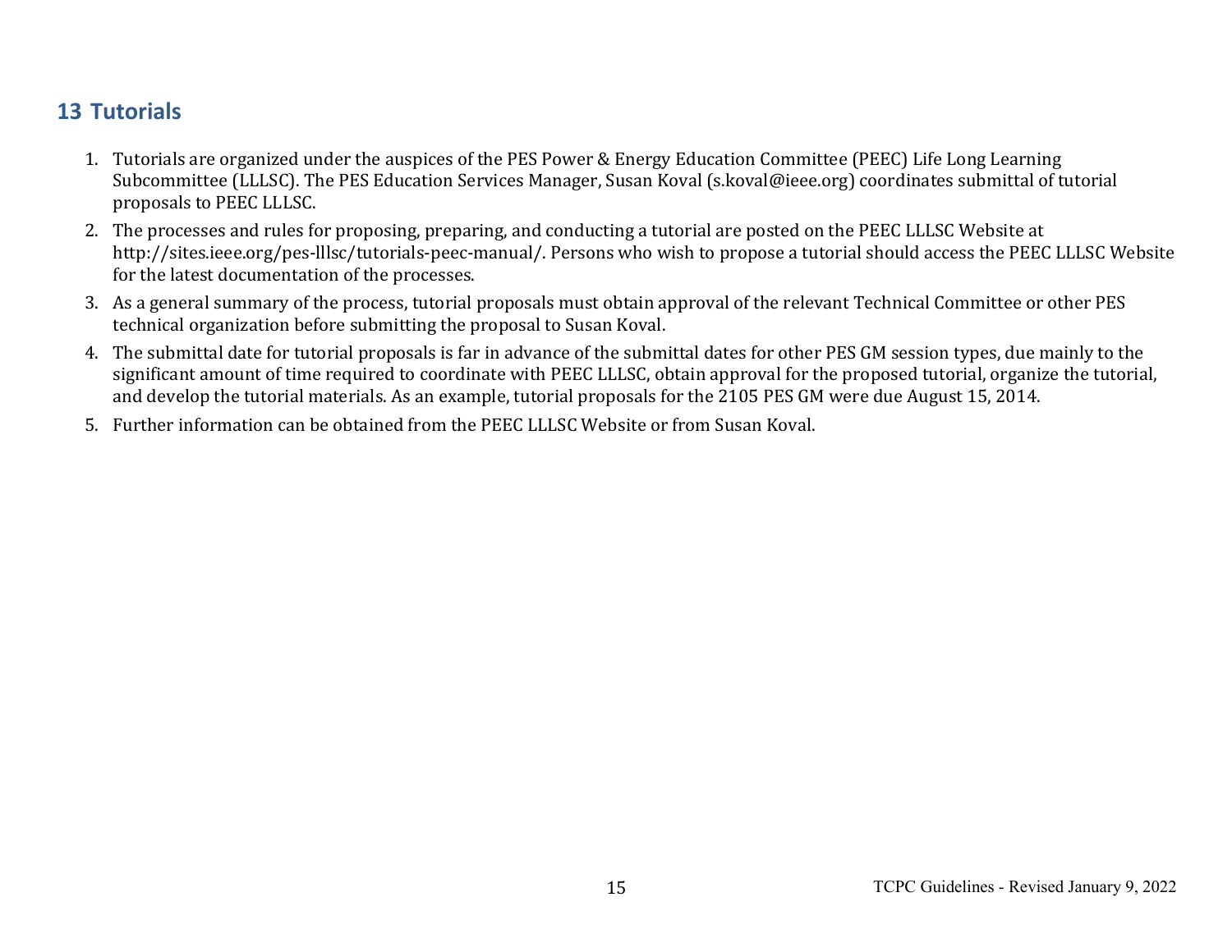#### **13 Tutorials**

- 1. Tutorials are organized under the auspices of the PES Power & Energy Education Committee (PEEC) Life Long Learning Subcommittee (LLLSC). The PES Education Services Manager, Susan Koval (s.koval@ieee.org) coordinates submittal of tutorial proposals to PEEC LLLSC.
- 2. The processes and rules for proposing, preparing, and conducting a tutorial are posted on the PEEC LLLSC Website at http://sites.ieee.org/pes-lllsc/tutorials-peec-manual/. Persons who wish to propose a tutorial should access the PEEC LLLSC Website for the latest documentation of the processes.
- 3. As a general summary of the process, tutorial proposals must obtain approval of the relevant Technical Committee or other PES technical organization before submitting the proposal to Susan Koval.
- 4. The submittal date for tutorial proposals is far in advance of the submittal dates for other PES GM session types, due mainly to the significant amount of time required to coordinate with PEEC LLLSC, obtain approval for the proposed tutorial, organize the tutorial, and develop the tutorial materials. As an example, tutorial proposals for the 2105 PES GM were due August 15, 2014.
- 5. Further information can be obtained from the PEEC LLLSC Website or from Susan Koval.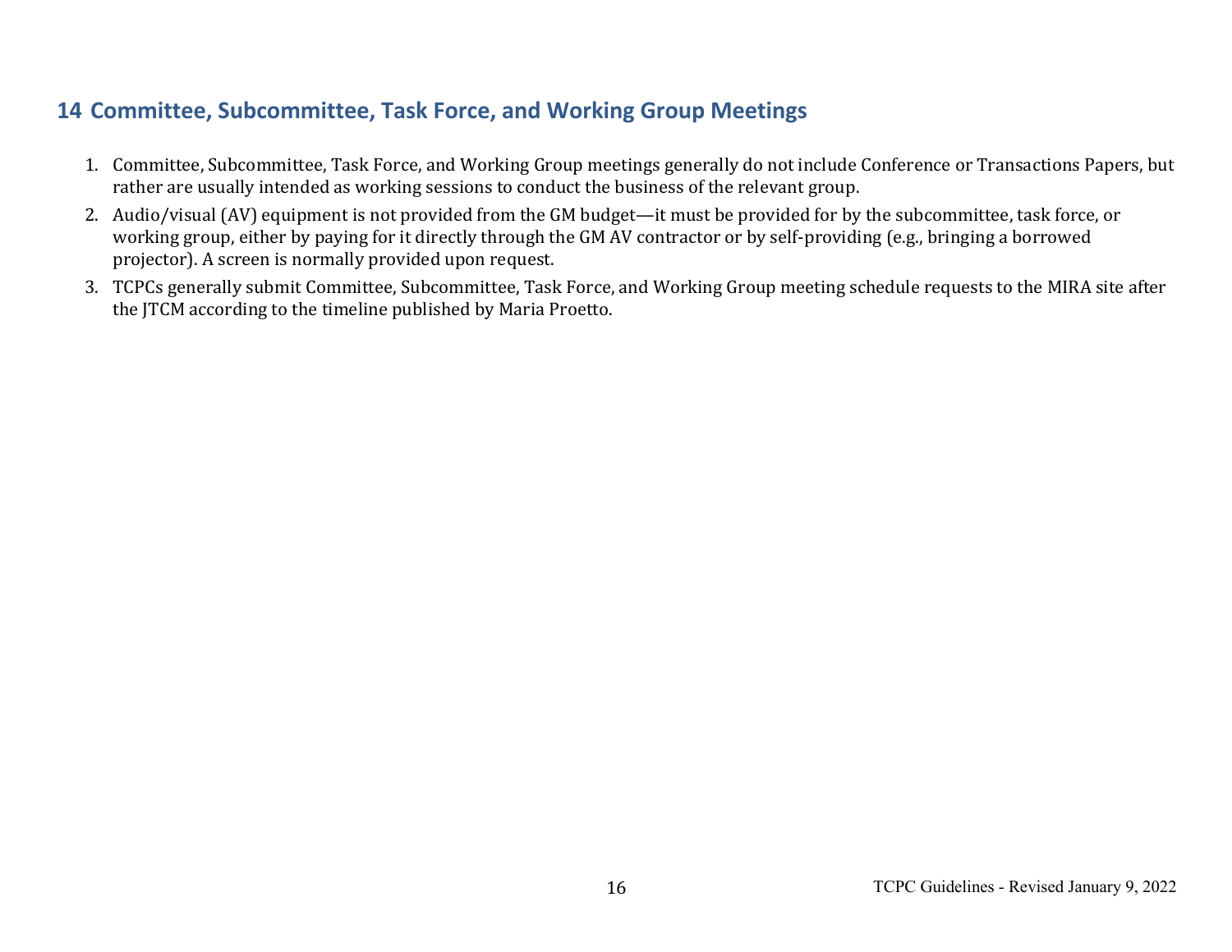## **14 Committee, Subcommittee, Task Force, and Working Group Meetings**

- 1. Committee, Subcommittee, Task Force, and Working Group meetings generally do not include Conference or Transactions Papers, but rather are usually intended as working sessions to conduct the business of the relevant group.
- 2. Audio/visual (AV) equipment is not provided from the GM budget—it must be provided for by the subcommittee, task force, or working group, either by paying for it directly through the GM AV contractor or by self-providing (e.g., bringing a borrowed projector). A screen is normally provided upon request.
- 3. TCPCs generally submit Committee, Subcommittee, Task Force, and Working Group meeting schedule requests to the MIRA site after the JTCM according to the timeline published by Maria Proetto.